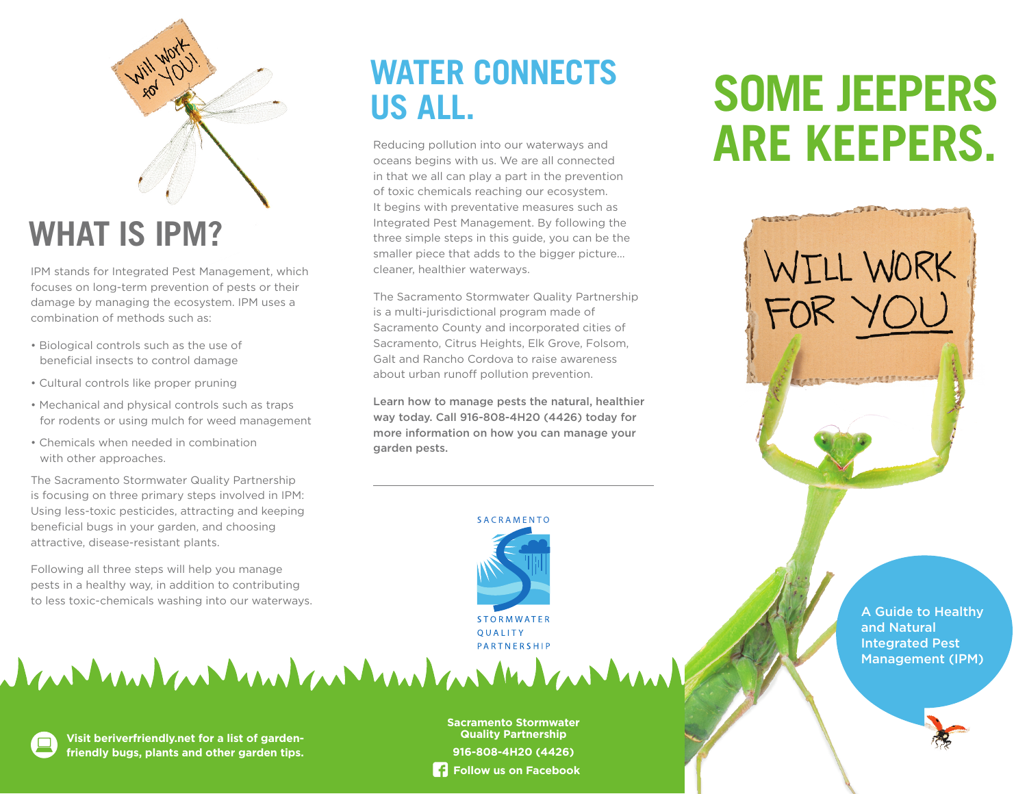

# **WHAT IS IPM?**

IPM stands for Integrated Pest Management, which focuses on long-term prevention of pests or their damage by managing the ecosystem. IPM uses a combination of methods such as:

- Biological controls such as the use of beneficial insects to control damage
- Cultural controls like proper pruning
- Mechanical and physical controls such as traps for rodents or using mulch for weed management
- Chemicals when needed in combination with other approaches.

The Sacramento Stormwater Quality Partnership is focusing on three primary steps involved in IPM: Using less-toxic pesticides, attracting and keeping beneficial bugs in your garden, and choosing attractive, disease-resistant plants.

Following all three steps will help you manage pests in a healthy way, in addition to contributing to less toxic-chemicals washing into our waterways.

## **WATER CONNECTS US ALL.**

Reducing pollution into our waterways and oceans begins with us. We are all connected in that we all can play a part in the prevention of toxic chemicals reaching our ecosystem. It begins with preventative measures such as Integrated Pest Management. By following the three simple steps in this guide, you can be the smaller piece that adds to the bigger picture… cleaner, healthier waterways.

The Sacramento Stormwater Quality Partnership is a multi-jurisdictional program made of Sacramento County and incorporated cities of Sacramento, Citrus Heights, Elk Grove, Folsom, Galt and Rancho Cordova to raise awareness about urban runoff pollution prevention.

Learn how to manage pests the natural, healthier way today. Call 916-808-4H20 (4426) today for more information on how you can manage your garden pests.



**STORMWATER OUALITY** PARTNERSHIP

# **SOME JEEPERS ARE KEEPERS.**



dar her hand and hand and hand and he had

**Visit beriverfriendly.net for a list of gardenfriendly bugs, plants and other garden tips.**

**Sacramento Stormwater Quality Partnership 916-808-4H20 (4426) Follow us on Facebook**